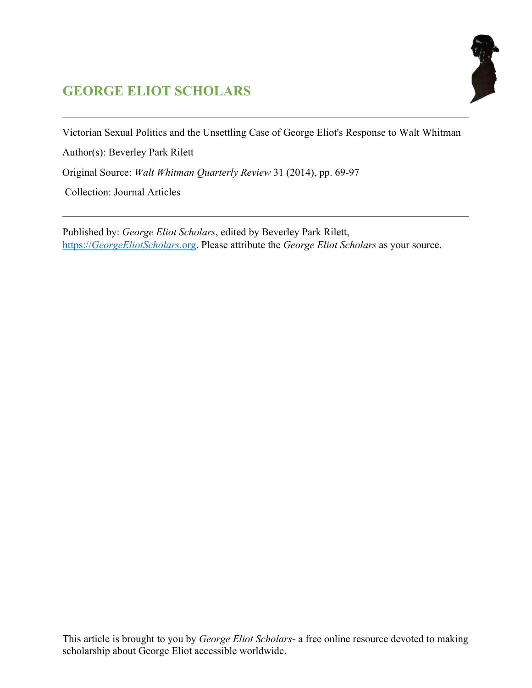# **GEORGE ELIOT SCHOLARS**



Victorian Sexual Politics and the Unsettling Case of George Eliot's Response to Walt Whitman

Author(s): Beverley Park Rilett

Original Source: *Walt Whitman Quarterly Review* 31 (2014), pp. 69-97

Collection: Journal Articles

Published by: *George Eliot Scholars*, edited by Beverley Park Rilett, https://*[GeorgeEliotScholars.](https://georgeeliotscholars.org/)*org. Please attribute the *George Eliot Scholars* as your source.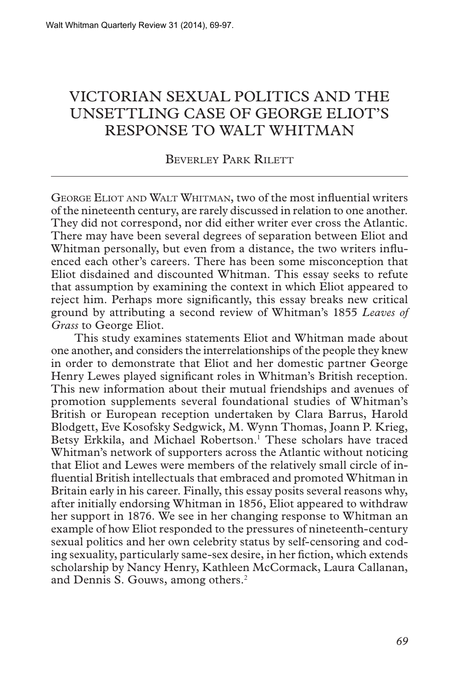## VICTORIAN SEXUAL POLITICS AND THE UNSETTLING CASE OF GEORGE ELIOT'S RESPONSE TO WALT WHITMAN

### Beverley Park Rilett

George Eliot and Walt Whitman, two of the most influential writers of the nineteenth century, are rarely discussed in relation to one another. They did not correspond, nor did either writer ever cross the Atlantic. There may have been several degrees of separation between Eliot and Whitman personally, but even from a distance, the two writers influenced each other's careers. There has been some misconception that Eliot disdained and discounted Whitman. This essay seeks to refute that assumption by examining the context in which Eliot appeared to reject him. Perhaps more significantly, this essay breaks new critical ground by attributing a second review of Whitman's 1855 *Leaves of Grass* to George Eliot.

This study examines statements Eliot and Whitman made about one another, and considers the interrelationships of the people they knew in order to demonstrate that Eliot and her domestic partner George Henry Lewes played significant roles in Whitman's British reception. This new information about their mutual friendships and avenues of promotion supplements several foundational studies of Whitman's British or European reception undertaken by Clara Barrus, Harold Blodgett, Eve Kosofsky Sedgwick, M. Wynn Thomas, Joann P. Krieg, Betsy Erkkila, and Michael Robertson.<sup>1</sup> These scholars have traced Whitman's network of supporters across the Atlantic without noticing that Eliot and Lewes were members of the relatively small circle of influential British intellectuals that embraced and promoted Whitman in Britain early in his career. Finally, this essay posits several reasons why, after initially endorsing Whitman in 1856, Eliot appeared to withdraw her support in 1876. We see in her changing response to Whitman an example of how Eliot responded to the pressures of nineteenth-century sexual politics and her own celebrity status by self-censoring and coding sexuality, particularly same-sex desire, in her fiction, which extends scholarship by Nancy Henry, Kathleen McCormack, Laura Callanan, and Dennis S. Gouws, among others.<sup>2</sup>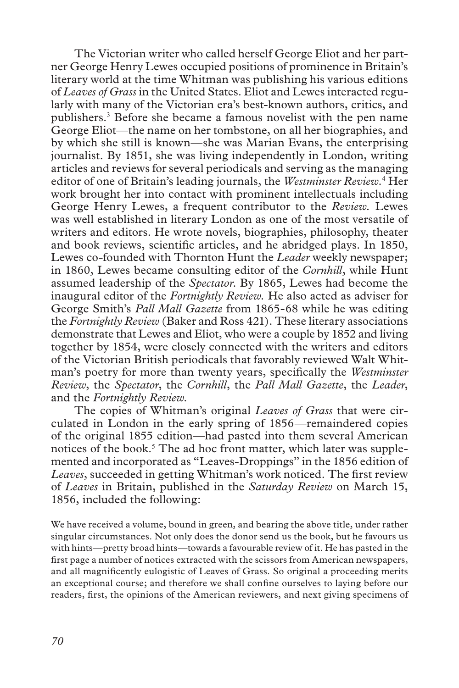The Victorian writer who called herself George Eliot and her partner George Henry Lewes occupied positions of prominence in Britain's literary world at the time Whitman was publishing his various editions of *Leaves of Grass* in the United States. Eliot and Lewes interacted regularly with many of the Victorian era's best-known authors, critics, and publishers.<sup>3</sup> Before she became a famous novelist with the pen name George Eliot—the name on her tombstone, on all her biographies, and by which she still is known—she was Marian Evans, the enterprising journalist. By 1851, she was living independently in London, writing articles and reviews for several periodicals and serving as the managing editor of one of Britain's leading journals, the *Westminster Review*.<sup>4</sup> Her work brought her into contact with prominent intellectuals including George Henry Lewes, a frequent contributor to the *Review.* Lewes was well established in literary London as one of the most versatile of writers and editors. He wrote novels, biographies, philosophy, theater and book reviews, scientific articles, and he abridged plays. In 1850, Lewes co-founded with Thornton Hunt the *Leader* weekly newspaper; in 1860, Lewes became consulting editor of the *Cornhill*, while Hunt assumed leadership of the *Spectator*. By 1865, Lewes had become the inaugural editor of the *Fortnightly Review.* He also acted as adviser for George Smith's *Pall Mall Gazette* from 1865-68 while he was editing the *Fortnightly Review* (Baker and Ross 421). These literary associations demonstrate that Lewes and Eliot, who were a couple by 1852 and living together by 1854, were closely connected with the writers and editors of the Victorian British periodicals that favorably reviewed Walt Whitman's poetry for more than twenty years, specifically the *Westminster Review*, the *Spectator*, the *Cornhill*, the *Pall Mall Gazette*, the *Leader*, and the *Fortnightly Review.*

The copies of Whitman's original *Leaves of Grass* that were circulated in London in the early spring of 1856—remaindered copies of the original 1855 edition—had pasted into them several American notices of the book.<sup>5</sup> The ad hoc front matter, which later was supplemented and incorporated as "Leaves-Droppings" in the 1856 edition of *Leaves*, succeeded in getting Whitman's work noticed. The first review of *Leaves* in Britain, published in the *Saturday Review* on March 15, 1856, included the following:

We have received a volume, bound in green, and bearing the above title, under rather singular circumstances. Not only does the donor send us the book, but he favours us with hints—pretty broad hints—towards a favourable review of it. He has pasted in the first page a number of notices extracted with the scissors from American newspapers, and all magnificently eulogistic of Leaves of Grass. So original a proceeding merits an exceptional course; and therefore we shall confine ourselves to laying before our readers, first, the opinions of the American reviewers, and next giving specimens of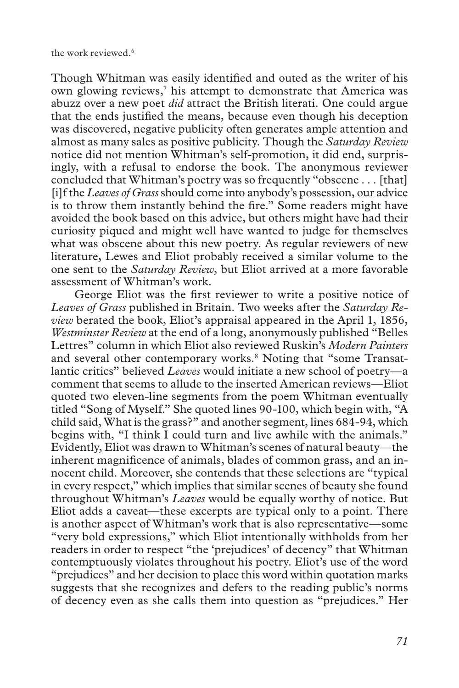Though Whitman was easily identified and outed as the writer of his own glowing reviews,<sup>7</sup> his attempt to demonstrate that America was abuzz over a new poet *did* attract the British literati. One could argue that the ends justified the means, because even though his deception was discovered, negative publicity often generates ample attention and almost as many sales as positive publicity. Though the *Saturday Review* notice did not mention Whitman's self-promotion, it did end, surprisingly, with a refusal to endorse the book. The anonymous reviewer concluded that Whitman's poetry was so frequently "obscene . . . [that] [i]f the *Leaves of Grass* should come into anybody's possession, our advice is to throw them instantly behind the fire." Some readers might have avoided the book based on this advice, but others might have had their curiosity piqued and might well have wanted to judge for themselves what was obscene about this new poetry. As regular reviewers of new literature, Lewes and Eliot probably received a similar volume to the one sent to the *Saturday Review*, but Eliot arrived at a more favorable assessment of Whitman's work.

George Eliot was the first reviewer to write a positive notice of *Leaves of Grass* published in Britain. Two weeks after the *Saturday Review* berated the book, Eliot's appraisal appeared in the April 1, 1856, *Westminster Review* at the end of a long, anonymously published "Belles Lettres" column in which Eliot also reviewed Ruskin's *Modern Painters* and several other contemporary works.<sup>8</sup> Noting that "some Transatlantic critics" believed *Leaves* would initiate a new school of poetry—a comment that seems to allude to the inserted American reviews—Eliot quoted two eleven-line segments from the poem Whitman eventually titled "Song of Myself." She quoted lines 90-100, which begin with, "A child said, What is the grass?" and another segment, lines 684-94, which begins with, "I think I could turn and live awhile with the animals." Evidently, Eliot was drawn to Whitman's scenes of natural beauty—the inherent magnificence of animals, blades of common grass, and an innocent child. Moreover, she contends that these selections are "typical in every respect," which implies that similar scenes of beauty she found throughout Whitman's *Leaves* would be equally worthy of notice. But Eliot adds a caveat—these excerpts are typical only to a point. There is another aspect of Whitman's work that is also representative—some "very bold expressions," which Eliot intentionally withholds from her readers in order to respect "the 'prejudices' of decency" that Whitman contemptuously violates throughout his poetry. Eliot's use of the word "prejudices" and her decision to place this word within quotation marks suggests that she recognizes and defers to the reading public's norms of decency even as she calls them into question as "prejudices." Her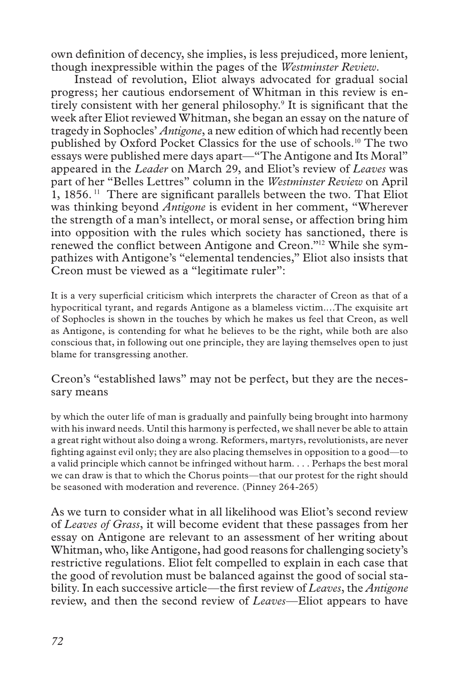own definition of decency, she implies, is less prejudiced, more lenient, though inexpressible within the pages of the *Westminster Review*.

Instead of revolution, Eliot always advocated for gradual social progress; her cautious endorsement of Whitman in this review is entirely consistent with her general philosophy.<sup>9</sup> It is significant that the week after Eliot reviewed Whitman, she began an essay on the nature of tragedy in Sophocles' *Antigone*, a new edition of which had recently been published by Oxford Pocket Classics for the use of schools.10 The two essays were published mere days apart—"The Antigone and Its Moral" appeared in the *Leader* on March 29, and Eliot's review of *Leaves* was part of her "Belles Lettres" column in the *Westminster Review* on April 1, 1856. 11 There are significant parallels between the two. That Eliot was thinking beyond *Antigone* is evident in her comment, "Wherever the strength of a man's intellect, or moral sense, or affection bring him into opposition with the rules which society has sanctioned, there is renewed the conflict between Antigone and Creon."12 While she sympathizes with Antigone's "elemental tendencies," Eliot also insists that Creon must be viewed as a "legitimate ruler":

It is a very superficial criticism which interprets the character of Creon as that of a hypocritical tyrant, and regards Antigone as a blameless victim.…The exquisite art of Sophocles is shown in the touches by which he makes us feel that Creon, as well as Antigone, is contending for what he believes to be the right, while both are also conscious that, in following out one principle, they are laying themselves open to just blame for transgressing another.

### Creon's "established laws" may not be perfect, but they are the necessary means

by which the outer life of man is gradually and painfully being brought into harmony with his inward needs. Until this harmony is perfected, we shall never be able to attain a great right without also doing a wrong. Reformers, martyrs, revolutionists, are never fighting against evil only; they are also placing themselves in opposition to a good—to a valid principle which cannot be infringed without harm. . . . Perhaps the best moral we can draw is that to which the Chorus points—that our protest for the right should be seasoned with moderation and reverence. (Pinney 264-265)

As we turn to consider what in all likelihood was Eliot's second review of *Leaves of Grass*, it will become evident that these passages from her essay on Antigone are relevant to an assessment of her writing about Whitman, who, like Antigone, had good reasons for challenging society's restrictive regulations. Eliot felt compelled to explain in each case that the good of revolution must be balanced against the good of social stability. In each successive article—the first review of *Leaves*, the *Antigone* review, and then the second review of *Leaves*—Eliot appears to have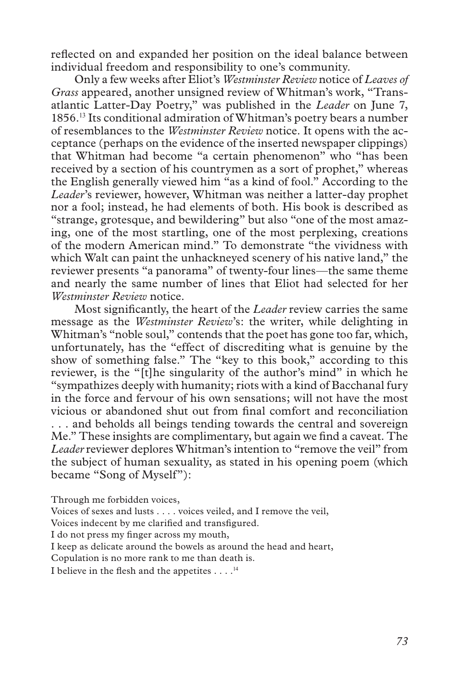reflected on and expanded her position on the ideal balance between individual freedom and responsibility to one's community.

Only a few weeks after Eliot's *Westminster Review* notice of *Leaves of Grass* appeared, another unsigned review of Whitman's work, "Transatlantic Latter-Day Poetry," was published in the *Leader* on June 7, 1856.13 Its conditional admiration of Whitman's poetry bears a number of resemblances to the *Westminster Review* notice. It opens with the acceptance (perhaps on the evidence of the inserted newspaper clippings) that Whitman had become "a certain phenomenon" who "has been received by a section of his countrymen as a sort of prophet," whereas the English generally viewed him "as a kind of fool." According to the *Leader*'s reviewer, however, Whitman was neither a latter-day prophet nor a fool; instead, he had elements of both. His book is described as "strange, grotesque, and bewildering" but also "one of the most amazing, one of the most startling, one of the most perplexing, creations of the modern American mind." To demonstrate "the vividness with which Walt can paint the unhackneyed scenery of his native land," the reviewer presents "a panorama" of twenty-four lines—the same theme and nearly the same number of lines that Eliot had selected for her *Westminster Review* notice.

Most significantly, the heart of the *Leader* review carries the same message as the *Westminster Review*'s: the writer, while delighting in Whitman's "noble soul," contends that the poet has gone too far, which, unfortunately, has the "effect of discrediting what is genuine by the show of something false." The "key to this book," according to this reviewer, is the "[t]he singularity of the author's mind" in which he "sympathizes deeply with humanity; riots with a kind of Bacchanal fury in the force and fervour of his own sensations; will not have the most vicious or abandoned shut out from final comfort and reconciliation . . . and beholds all beings tending towards the central and sovereign Me." These insights are complimentary, but again we find a caveat. The *Leader* reviewer deplores Whitman's intention to "remove the veil" from the subject of human sexuality, as stated in his opening poem (which became "Song of Myself"):

Through me forbidden voices,

Voices of sexes and lusts . . . . voices veiled, and I remove the veil,

Voices indecent by me clarified and transfigured.

I do not press my finger across my mouth,

I keep as delicate around the bowels as around the head and heart,

Copulation is no more rank to me than death is.

I believe in the flesh and the appetites  $\dots$ .<sup>14</sup>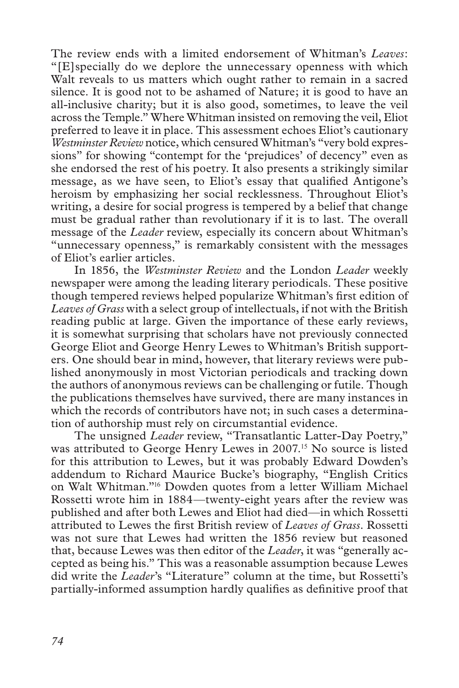The review ends with a limited endorsement of Whitman's *Leaves*: "[E]specially do we deplore the unnecessary openness with which Walt reveals to us matters which ought rather to remain in a sacred silence. It is good not to be ashamed of Nature; it is good to have an all-inclusive charity; but it is also good, sometimes, to leave the veil across the Temple." Where Whitman insisted on removing the veil, Eliot preferred to leave it in place. This assessment echoes Eliot's cautionary *Westminster Review* notice, which censured Whitman's "very bold expressions" for showing "contempt for the 'prejudices' of decency" even as she endorsed the rest of his poetry. It also presents a strikingly similar message, as we have seen, to Eliot's essay that qualified Antigone's heroism by emphasizing her social recklessness. Throughout Eliot's writing, a desire for social progress is tempered by a belief that change must be gradual rather than revolutionary if it is to last. The overall message of the *Leader* review, especially its concern about Whitman's "unnecessary openness," is remarkably consistent with the messages of Eliot's earlier articles.

In 1856, the *Westminster Review* and the London *Leader* weekly newspaper were among the leading literary periodicals. These positive though tempered reviews helped popularize Whitman's first edition of *Leaves of Grass* with a select group of intellectuals, if not with the British reading public at large. Given the importance of these early reviews, it is somewhat surprising that scholars have not previously connected George Eliot and George Henry Lewes to Whitman's British supporters. One should bear in mind, however, that literary reviews were published anonymously in most Victorian periodicals and tracking down the authors of anonymous reviews can be challenging or futile. Though the publications themselves have survived, there are many instances in which the records of contributors have not; in such cases a determination of authorship must rely on circumstantial evidence.

The unsigned *Leader* review, "Transatlantic Latter-Day Poetry," was attributed to George Henry Lewes in 2007.<sup>15</sup> No source is listed for this attribution to Lewes, but it was probably Edward Dowden's addendum to Richard Maurice Bucke's biography, "English Critics on Walt Whitman."16 Dowden quotes from a letter William Michael Rossetti wrote him in 1884—twenty-eight years after the review was published and after both Lewes and Eliot had died—in which Rossetti attributed to Lewes the first British review of *Leaves of Grass*. Rossetti was not sure that Lewes had written the 1856 review but reasoned that, because Lewes was then editor of the *Leader*, it was "generally accepted as being his." This was a reasonable assumption because Lewes did write the *Leader*'s "Literature" column at the time, but Rossetti's partially-informed assumption hardly qualifies as definitive proof that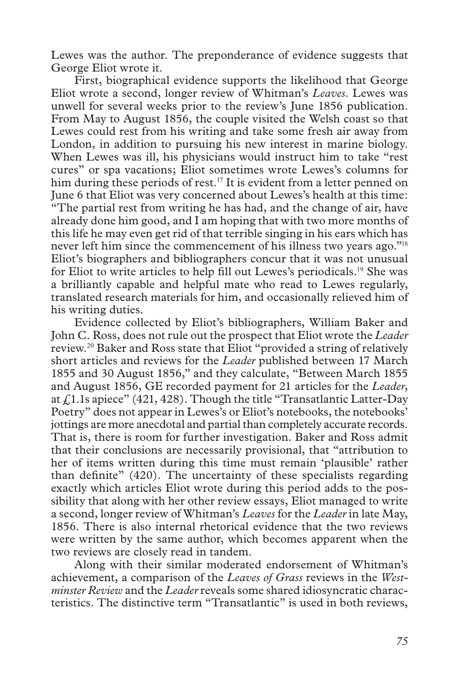Lewes was the author. The preponderance of evidence suggests that George Eliot wrote it.

First, biographical evidence supports the likelihood that George Eliot wrote a second, longer review of Whitman's *Leaves*. Lewes was unwell for several weeks prior to the review's June 1856 publication. From May to August 1856, the couple visited the Welsh coast so that Lewes could rest from his writing and take some fresh air away from London, in addition to pursuing his new interest in marine biology. When Lewes was ill, his physicians would instruct him to take "rest cures" or spa vacations; Eliot sometimes wrote Lewes's columns for him during these periods of rest.<sup>17</sup> It is evident from a letter penned on June 6 that Eliot was very concerned about Lewes's health at this time: "The partial rest from writing he has had, and the change of air, have already done him good, and I am hoping that with two more months of this life he may even get rid of that terrible singing in his ears which has never left him since the commencement of his illness two years ago."<sup>18</sup> Eliot's biographers and bibliographers concur that it was not unusual for Eliot to write articles to help fill out Lewes's periodicals.19 She was a brilliantly capable and helpful mate who read to Lewes regularly, translated research materials for him, and occasionally relieved him of his writing duties.

Evidence collected by Eliot's bibliographers, William Baker and John C. Ross, does not rule out the prospect that Eliot wrote the *Leader* review.20 Baker and Ross state that Eliot "provided a string of relatively short articles and reviews for the *Leader* published between 17 March 1855 and 30 August 1856," and they calculate, "Between March 1855 and August 1856, GE recorded payment for 21 articles for the *Leader*, at £1.1s apiece" (421, 428). Though the title "Transatlantic Latter-Day Poetry" does not appear in Lewes's or Eliot's notebooks, the notebooks' jottings are more anecdotal and partial than completely accurate records. That is, there is room for further investigation. Baker and Ross admit that their conclusions are necessarily provisional, that "attribution to her of items written during this time must remain 'plausible' rather than definite" (420). The uncertainty of these specialists regarding exactly which articles Eliot wrote during this period adds to the possibility that along with her other review essays, Eliot managed to write a second, longer review of Whitman's *Leaves* for the *Leader* in late May, 1856. There is also internal rhetorical evidence that the two reviews were written by the same author, which becomes apparent when the two reviews are closely read in tandem.

Along with their similar moderated endorsement of Whitman's achievement, a comparison of the *Leaves of Grass* reviews in the *Westminster Review* and the *Leader* reveals some shared idiosyncratic characteristics. The distinctive term "Transatlantic" is used in both reviews,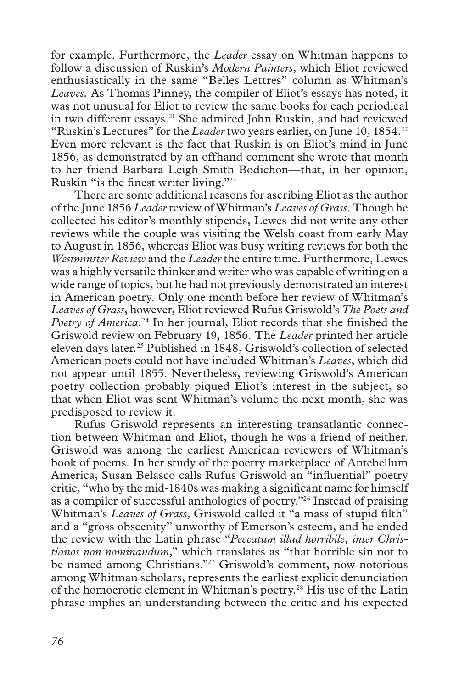for example. Furthermore, the *Leader* essay on Whitman happens to follow a discussion of Ruskin's *Modern Painters*, which Eliot reviewed enthusiastically in the same "Belles Lettres" column as Whitman's *Leaves.* As Thomas Pinney, the compiler of Eliot's essays has noted, it was not unusual for Eliot to review the same books for each periodical in two different essays.<sup>21</sup> She admired John Ruskin, and had reviewed "Ruskin's Lectures" for the *Leader* two years earlier, on June 10, 1854.<sup>22</sup> Even more relevant is the fact that Ruskin is on Eliot's mind in June 1856, as demonstrated by an offhand comment she wrote that month to her friend Barbara Leigh Smith Bodichon—that, in her opinion, Ruskin "is the finest writer living."<sup>23</sup>

There are some additional reasons for ascribing Eliot as the author of the June 1856 *Leader* review of Whitman's *Leaves of Grass*. Though he collected his editor's monthly stipends, Lewes did not write any other reviews while the couple was visiting the Welsh coast from early May to August in 1856, whereas Eliot was busy writing reviews for both the *Westminster Review* and the *Leader* the entire time. Furthermore, Lewes was a highly versatile thinker and writer who was capable of writing on a wide range of topics, but he had not previously demonstrated an interest in American poetry. Only one month before her review of Whitman's *Leaves of Grass*, however, Eliot reviewed Rufus Griswold's *The Poets and Poetry of America.*24 In her journal, Eliot records that she finished the Griswold review on February 19, 1856. The *Leader* printed her article eleven days later.25 Published in 1848, Griswold's collection of selected American poets could not have included Whitman's *Leaves*, which did not appear until 1855. Nevertheless, reviewing Griswold's American poetry collection probably piqued Eliot's interest in the subject, so that when Eliot was sent Whitman's volume the next month, she was predisposed to review it.

Rufus Griswold represents an interesting transatlantic connection between Whitman and Eliot, though he was a friend of neither. Griswold was among the earliest American reviewers of Whitman's book of poems. In her study of the poetry marketplace of Antebellum America, Susan Belasco calls Rufus Griswold an "influential" poetry critic, "who by the mid-1840s was making a significant name for himself as a compiler of successful anthologies of poetry."26 Instead of praising Whitman's Leaves of Grass, Griswold called it "a mass of stupid filth" and a "gross obscenity" unworthy of Emerson's esteem, and he ended the review with the Latin phrase "*Peccatum illud horribile, inter Christianos non nominandum*," which translates as "that horrible sin not to be named among Christians."<sup>27</sup> Griswold's comment, now notorious among Whitman scholars, represents the earliest explicit denunciation of the homoerotic element in Whitman's poetry.28 His use of the Latin phrase implies an understanding between the critic and his expected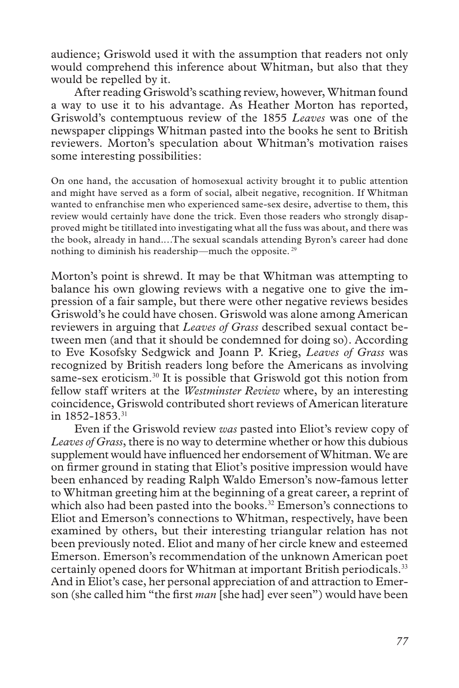audience; Griswold used it with the assumption that readers not only would comprehend this inference about Whitman, but also that they would be repelled by it.

After reading Griswold's scathing review, however, Whitman found a way to use it to his advantage. As Heather Morton has reported, Griswold's contemptuous review of the 1855 *Leaves* was one of the newspaper clippings Whitman pasted into the books he sent to British reviewers. Morton's speculation about Whitman's motivation raises some interesting possibilities:

On one hand, the accusation of homosexual activity brought it to public attention and might have served as a form of social, albeit negative, recognition. If Whitman wanted to enfranchise men who experienced same-sex desire, advertise to them, this review would certainly have done the trick. Even those readers who strongly disapproved might be titillated into investigating what all the fuss was about, and there was the book, already in hand.…The sexual scandals attending Byron's career had done nothing to diminish his readership—much the opposite.<sup>29</sup>

Morton's point is shrewd. It may be that Whitman was attempting to balance his own glowing reviews with a negative one to give the impression of a fair sample, but there were other negative reviews besides Griswold's he could have chosen. Griswold was alone among American reviewers in arguing that *Leaves of Grass* described sexual contact between men (and that it should be condemned for doing so). According to Eve Kosofsky Sedgwick and Joann P. Krieg, *Leaves of Grass* was recognized by British readers long before the Americans as involving same-sex eroticism.<sup>30</sup> It is possible that Griswold got this notion from fellow staff writers at the *Westminster Review* where, by an interesting coincidence, Griswold contributed short reviews of American literature in 1852-1853.<sup>31</sup>

Even if the Griswold review *was* pasted into Eliot's review copy of *Leaves of Grass*, there is no way to determine whether or how this dubious supplement would have influenced her endorsement of Whitman. We are on firmer ground in stating that Eliot's positive impression would have been enhanced by reading Ralph Waldo Emerson's now-famous letter to Whitman greeting him at the beginning of a great career, a reprint of which also had been pasted into the books.<sup>32</sup> Emerson's connections to Eliot and Emerson's connections to Whitman, respectively, have been examined by others, but their interesting triangular relation has not been previously noted. Eliot and many of her circle knew and esteemed Emerson. Emerson's recommendation of the unknown American poet certainly opened doors for Whitman at important British periodicals.<sup>33</sup> And in Eliot's case, her personal appreciation of and attraction to Emerson (she called him "the first *man* [she had] ever seen") would have been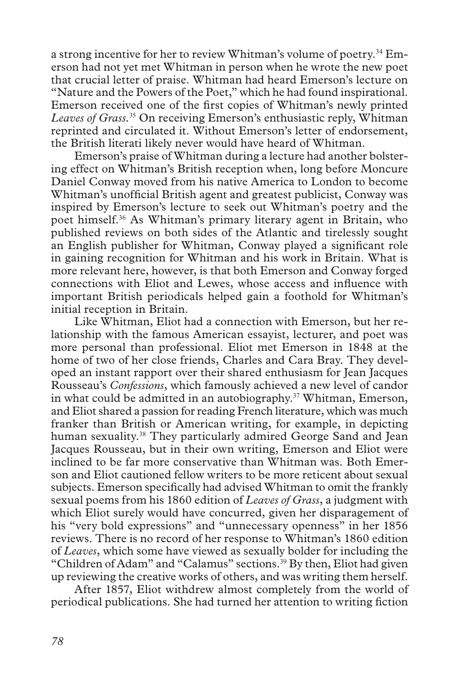a strong incentive for her to review Whitman's volume of poetry.34 Emerson had not yet met Whitman in person when he wrote the new poet that crucial letter of praise. Whitman had heard Emerson's lecture on "Nature and the Powers of the Poet," which he had found inspirational. Emerson received one of the first copies of Whitman's newly printed *Leaves of Grass.*<sup>35</sup> On receiving Emerson's enthusiastic reply, Whitman reprinted and circulated it. Without Emerson's letter of endorsement, the British literati likely never would have heard of Whitman.

Emerson's praise of Whitman during a lecture had another bolstering effect on Whitman's British reception when, long before Moncure Daniel Conway moved from his native America to London to become Whitman's unofficial British agent and greatest publicist, Conway was inspired by Emerson's lecture to seek out Whitman's poetry and the poet himself.36 As Whitman's primary literary agent in Britain, who published reviews on both sides of the Atlantic and tirelessly sought an English publisher for Whitman, Conway played a significant role in gaining recognition for Whitman and his work in Britain. What is more relevant here, however, is that both Emerson and Conway forged connections with Eliot and Lewes, whose access and influence with important British periodicals helped gain a foothold for Whitman's initial reception in Britain.

Like Whitman, Eliot had a connection with Emerson, but her relationship with the famous American essayist, lecturer, and poet was more personal than professional. Eliot met Emerson in 1848 at the home of two of her close friends, Charles and Cara Bray. They developed an instant rapport over their shared enthusiasm for Jean Jacques Rousseau's *Confessions*, which famously achieved a new level of candor in what could be admitted in an autobiography.37 Whitman, Emerson, and Eliot shared a passion for reading French literature, which was much franker than British or American writing, for example, in depicting human sexuality.<sup>38</sup> They particularly admired George Sand and Jean Jacques Rousseau, but in their own writing, Emerson and Eliot were inclined to be far more conservative than Whitman was. Both Emerson and Eliot cautioned fellow writers to be more reticent about sexual subjects. Emerson specifically had advised Whitman to omit the frankly sexual poems from his 1860 edition of *Leaves of Grass*, a judgment with which Eliot surely would have concurred, given her disparagement of his "very bold expressions" and "unnecessary openness" in her 1856 reviews. There is no record of her response to Whitman's 1860 edition of *Leaves*, which some have viewed as sexually bolder for including the "Children of Adam" and "Calamus" sections.<sup>39</sup> By then, Eliot had given up reviewing the creative works of others, and was writing them herself.

After 1857, Eliot withdrew almost completely from the world of periodical publications. She had turned her attention to writing fiction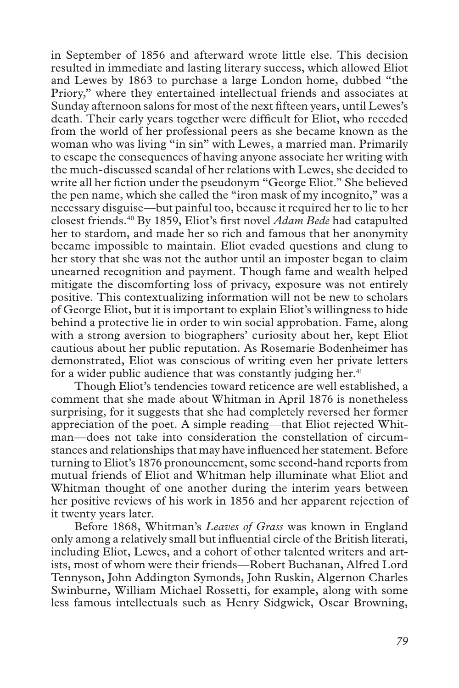in September of 1856 and afterward wrote little else. This decision resulted in immediate and lasting literary success, which allowed Eliot and Lewes by 1863 to purchase a large London home, dubbed "the Priory," where they entertained intellectual friends and associates at Sunday afternoon salons for most of the next fifteen years, until Lewes's death. Their early years together were difficult for Eliot, who receded from the world of her professional peers as she became known as the woman who was living "in sin" with Lewes, a married man. Primarily to escape the consequences of having anyone associate her writing with the much-discussed scandal of her relations with Lewes, she decided to write all her fiction under the pseudonym "George Eliot." She believed the pen name, which she called the "iron mask of my incognito," was a necessary disguise—but painful too, because it required her to lie to her closest friends.40 By 1859, Eliot's first novel *Adam Bede* had catapulted her to stardom, and made her so rich and famous that her anonymity became impossible to maintain. Eliot evaded questions and clung to her story that she was not the author until an imposter began to claim unearned recognition and payment. Though fame and wealth helped mitigate the discomforting loss of privacy, exposure was not entirely positive. This contextualizing information will not be new to scholars of George Eliot, but it is important to explain Eliot's willingness to hide behind a protective lie in order to win social approbation. Fame, along with a strong aversion to biographers' curiosity about her, kept Eliot cautious about her public reputation. As Rosemarie Bodenheimer has demonstrated, Eliot was conscious of writing even her private letters for a wider public audience that was constantly judging her. $41$ 

Though Eliot's tendencies toward reticence are well established, a comment that she made about Whitman in April 1876 is nonetheless surprising, for it suggests that she had completely reversed her former appreciation of the poet. A simple reading—that Eliot rejected Whitman—does not take into consideration the constellation of circumstances and relationships that may have influenced her statement. Before turning to Eliot's 1876 pronouncement, some second-hand reports from mutual friends of Eliot and Whitman help illuminate what Eliot and Whitman thought of one another during the interim years between her positive reviews of his work in 1856 and her apparent rejection of it twenty years later.

Before 1868, Whitman's *Leaves of Grass* was known in England only among a relatively small but influential circle of the British literati, including Eliot, Lewes, and a cohort of other talented writers and artists, most of whom were their friends—Robert Buchanan, Alfred Lord Tennyson, John Addington Symonds, John Ruskin, Algernon Charles Swinburne, William Michael Rossetti, for example, along with some less famous intellectuals such as Henry Sidgwick, Oscar Browning,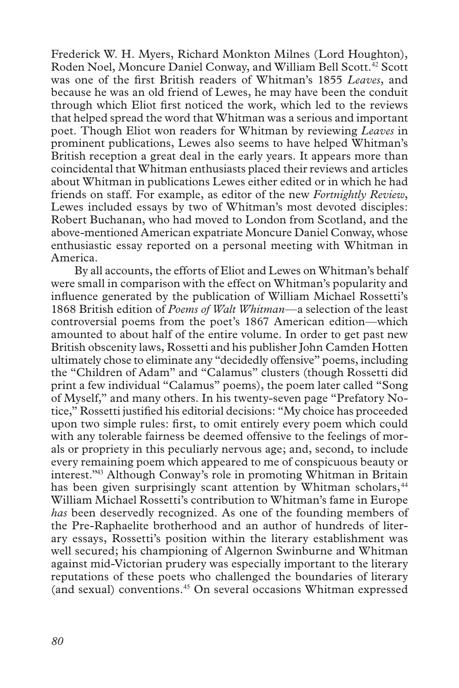Frederick W. H. Myers, Richard Monkton Milnes (Lord Houghton), Roden Noel, Moncure Daniel Conway, and William Bell Scott.<sup>42</sup> Scott was one of the first British readers of Whitman's 1855 *Leaves*, and because he was an old friend of Lewes, he may have been the conduit through which Eliot first noticed the work, which led to the reviews that helped spread the word that Whitman was a serious and important poet. Though Eliot won readers for Whitman by reviewing *Leaves* in prominent publications, Lewes also seems to have helped Whitman's British reception a great deal in the early years. It appears more than coincidental that Whitman enthusiasts placed their reviews and articles about Whitman in publications Lewes either edited or in which he had friends on staff. For example, as editor of the new *Fortnightly Review*, Lewes included essays by two of Whitman's most devoted disciples: Robert Buchanan, who had moved to London from Scotland, and the above-mentioned American expatriate Moncure Daniel Conway, whose enthusiastic essay reported on a personal meeting with Whitman in America.

By all accounts, the efforts of Eliot and Lewes on Whitman's behalf were small in comparison with the effect on Whitman's popularity and influence generated by the publication of William Michael Rossetti's 1868 British edition of *Poems of Walt Whitman*—a selection of the least controversial poems from the poet's 1867 American edition—which amounted to about half of the entire volume. In order to get past new British obscenity laws, Rossetti and his publisher John Camden Hotten ultimately chose to eliminate any "decidedly offensive" poems, including the "Children of Adam" and "Calamus" clusters (though Rossetti did print a few individual "Calamus" poems), the poem later called "Song of Myself," and many others. In his twenty-seven page "Prefatory Notice," Rossetti justified his editorial decisions: "My choice has proceeded upon two simple rules: first, to omit entirely every poem which could with any tolerable fairness be deemed offensive to the feelings of morals or propriety in this peculiarly nervous age; and, second, to include every remaining poem which appeared to me of conspicuous beauty or interest."43 Although Conway's role in promoting Whitman in Britain has been given surprisingly scant attention by Whitman scholars,<sup>44</sup> William Michael Rossetti's contribution to Whitman's fame in Europe *has* been deservedly recognized. As one of the founding members of the Pre-Raphaelite brotherhood and an author of hundreds of literary essays, Rossetti's position within the literary establishment was well secured; his championing of Algernon Swinburne and Whitman against mid-Victorian prudery was especially important to the literary reputations of these poets who challenged the boundaries of literary (and sexual) conventions.45 On several occasions Whitman expressed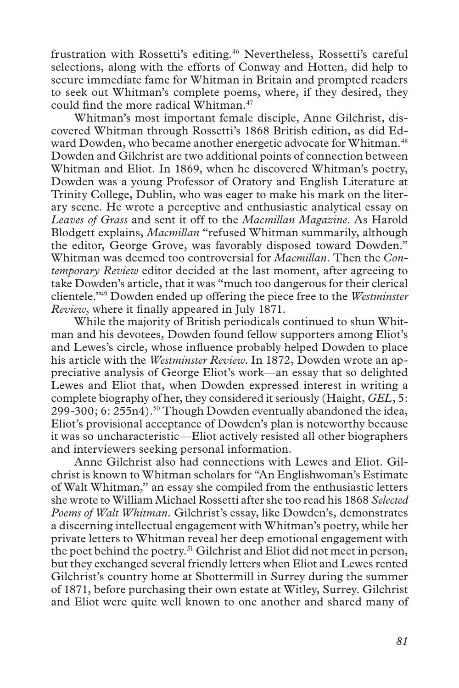frustration with Rossetti's editing.<sup>46</sup> Nevertheless, Rossetti's careful selections, along with the efforts of Conway and Hotten, did help to secure immediate fame for Whitman in Britain and prompted readers to seek out Whitman's complete poems, where, if they desired, they could find the more radical Whitman.<sup>47</sup>

Whitman's most important female disciple, Anne Gilchrist, discovered Whitman through Rossetti's 1868 British edition, as did Edward Dowden, who became another energetic advocate for Whitman.<sup>48</sup> Dowden and Gilchrist are two additional points of connection between Whitman and Eliot. In 1869, when he discovered Whitman's poetry, Dowden was a young Professor of Oratory and English Literature at Trinity College, Dublin, who was eager to make his mark on the literary scene. He wrote a perceptive and enthusiastic analytical essay on *Leaves of Grass* and sent it off to the *Macmillan Magazine*. As Harold Blodgett explains, *Macmillan* "refused Whitman summarily, although the editor, George Grove, was favorably disposed toward Dowden." Whitman was deemed too controversial for *Macmillan*. Then the *Contemporary Review* editor decided at the last moment, after agreeing to take Dowden's article, that it was "much too dangerous for their clerical clientele."49 Dowden ended up offering the piece free to the *Westminster Review*, where it finally appeared in July 1871.

While the majority of British periodicals continued to shun Whitman and his devotees, Dowden found fellow supporters among Eliot's and Lewes's circle, whose influence probably helped Dowden to place his article with the *Westminster Review*. In 1872, Dowden wrote an appreciative analysis of George Eliot's work—an essay that so delighted Lewes and Eliot that, when Dowden expressed interest in writing a complete biography of her, they considered it seriously (Haight, *GEL*, 5: 299-300; 6: 255n4).<sup>50</sup> Though Dowden eventually abandoned the idea, Eliot's provisional acceptance of Dowden's plan is noteworthy because it was so uncharacteristic—Eliot actively resisted all other biographers and interviewers seeking personal information.

Anne Gilchrist also had connections with Lewes and Eliot. Gilchrist is known to Whitman scholars for "An Englishwoman's Estimate of Walt Whitman," an essay she compiled from the enthusiastic letters she wrote to William Michael Rossetti after she too read his 1868 *Selected Poems of Walt Whitman.* Gilchrist's essay, like Dowden's*,* demonstrates a discerning intellectual engagement with Whitman's poetry, while her private letters to Whitman reveal her deep emotional engagement with the poet behind the poetry.51 Gilchrist and Eliot did not meet in person, but they exchanged several friendly letters when Eliot and Lewes rented Gilchrist's country home at Shottermill in Surrey during the summer of 1871, before purchasing their own estate at Witley, Surrey. Gilchrist and Eliot were quite well known to one another and shared many of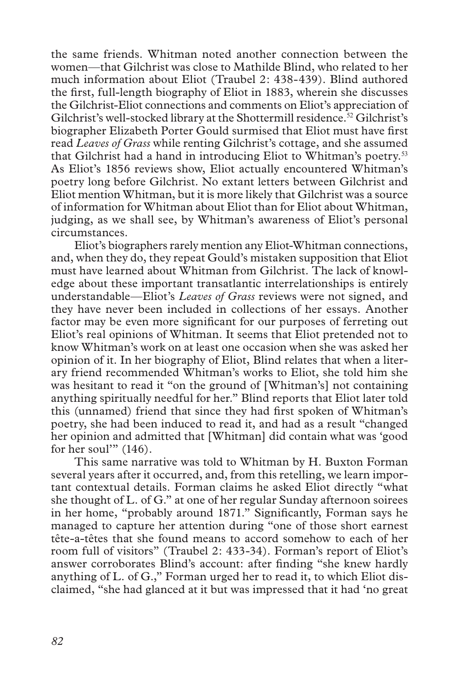the same friends. Whitman noted another connection between the women—that Gilchrist was close to Mathilde Blind, who related to her much information about Eliot (Traubel 2: 438-439). Blind authored the first, full-length biography of Eliot in 1883, wherein she discusses the Gilchrist-Eliot connections and comments on Eliot's appreciation of Gilchrist's well-stocked library at the Shottermill residence.<sup>52</sup> Gilchrist's biographer Elizabeth Porter Gould surmised that Eliot must have first read *Leaves of Grass* while renting Gilchrist's cottage, and she assumed that Gilchrist had a hand in introducing Eliot to Whitman's poetry.<sup>53</sup> As Eliot's 1856 reviews show, Eliot actually encountered Whitman's poetry long before Gilchrist. No extant letters between Gilchrist and Eliot mention Whitman, but it is more likely that Gilchrist was a source of information for Whitman about Eliot than for Eliot about Whitman, judging, as we shall see, by Whitman's awareness of Eliot's personal circumstances.

Eliot's biographers rarely mention any Eliot-Whitman connections, and, when they do, they repeat Gould's mistaken supposition that Eliot must have learned about Whitman from Gilchrist. The lack of knowledge about these important transatlantic interrelationships is entirely understandable—Eliot's *Leaves of Grass* reviews were not signed, and they have never been included in collections of her essays. Another factor may be even more significant for our purposes of ferreting out Eliot's real opinions of Whitman. It seems that Eliot pretended not to know Whitman's work on at least one occasion when she was asked her opinion of it. In her biography of Eliot, Blind relates that when a literary friend recommended Whitman's works to Eliot, she told him she was hesitant to read it "on the ground of [Whitman's] not containing anything spiritually needful for her." Blind reports that Eliot later told this (unnamed) friend that since they had first spoken of Whitman's poetry, she had been induced to read it, and had as a result "changed her opinion and admitted that [Whitman] did contain what was 'good for her soul"  $(146)$ .

This same narrative was told to Whitman by H. Buxton Forman several years after it occurred, and, from this retelling, we learn important contextual details. Forman claims he asked Eliot directly "what she thought of L. of G." at one of her regular Sunday afternoon soirees in her home, "probably around 1871." Significantly, Forman says he managed to capture her attention during "one of those short earnest tête-a-têtes that she found means to accord somehow to each of her room full of visitors" (Traubel 2: 433-34). Forman's report of Eliot's answer corroborates Blind's account: after finding "she knew hardly anything of L. of G.," Forman urged her to read it, to which Eliot disclaimed, "she had glanced at it but was impressed that it had 'no great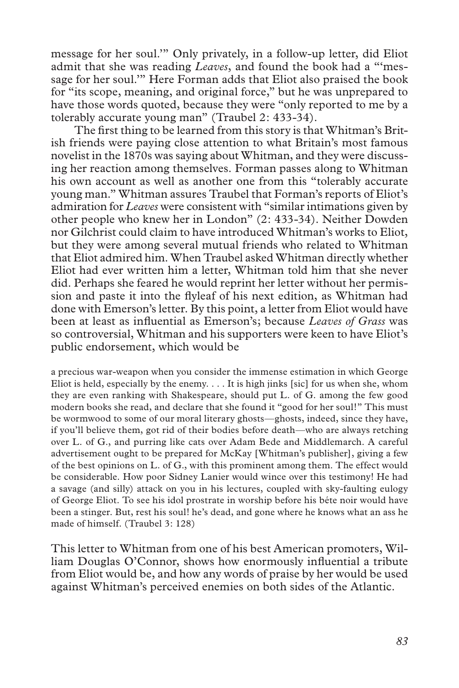message for her soul.'" Only privately, in a follow-up letter, did Eliot admit that she was reading *Leaves*, and found the book had a "'message for her soul.'" Here Forman adds that Eliot also praised the book for "its scope, meaning, and original force," but he was unprepared to have those words quoted, because they were "only reported to me by a tolerably accurate young man" (Traubel 2: 433-34).

The first thing to be learned from this story is that Whitman's British friends were paying close attention to what Britain's most famous novelist in the 1870s was saying about Whitman, and they were discussing her reaction among themselves. Forman passes along to Whitman his own account as well as another one from this "tolerably accurate young man." Whitman assures Traubel that Forman's reports of Eliot's admiration for *Leaves* were consistent with "similar intimations given by other people who knew her in London" (2: 433-34). Neither Dowden nor Gilchrist could claim to have introduced Whitman's works to Eliot, but they were among several mutual friends who related to Whitman that Eliot admired him. When Traubel asked Whitman directly whether Eliot had ever written him a letter, Whitman told him that she never did. Perhaps she feared he would reprint her letter without her permission and paste it into the flyleaf of his next edition, as Whitman had done with Emerson's letter. By this point, a letter from Eliot would have been at least as influential as Emerson's; because *Leaves of Grass* was so controversial, Whitman and his supporters were keen to have Eliot's public endorsement, which would be

a precious war-weapon when you consider the immense estimation in which George Eliot is held, especially by the enemy.  $\dots$  It is high jinks [sic] for us when she, whom they are even ranking with Shakespeare, should put L. of G. among the few good modern books she read, and declare that she found it "good for her soul!" This must be wormwood to some of our moral literary ghosts—ghosts, indeed, since they have, if you'll believe them, got rid of their bodies before death—who are always retching over L. of G., and purring like cats over Adam Bede and Middlemarch. A careful advertisement ought to be prepared for McKay [Whitman's publisher], giving a few of the best opinions on L. of G., with this prominent among them. The effect would be considerable. How poor Sidney Lanier would wince over this testimony! He had a savage (and silly) attack on you in his lectures, coupled with sky-faulting eulogy of George Eliot. To see his idol prostrate in worship before his béte noir would have been a stinger. But, rest his soul! he's dead, and gone where he knows what an ass he made of himself. (Traubel 3: 128)

This letter to Whitman from one of his best American promoters, William Douglas O'Connor, shows how enormously influential a tribute from Eliot would be, and how any words of praise by her would be used against Whitman's perceived enemies on both sides of the Atlantic.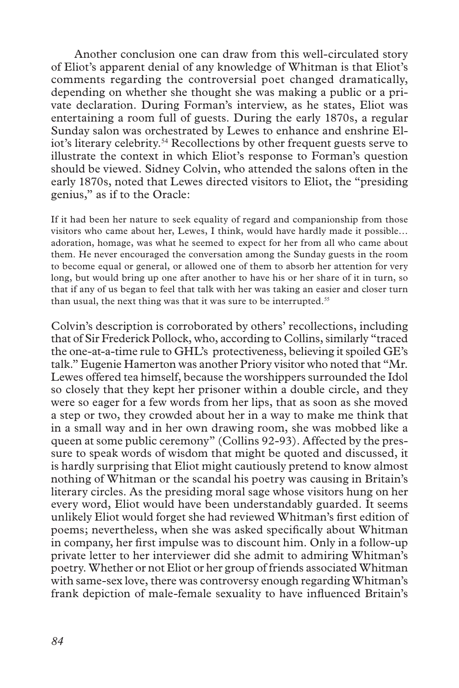Another conclusion one can draw from this well-circulated story of Eliot's apparent denial of any knowledge of Whitman is that Eliot's comments regarding the controversial poet changed dramatically, depending on whether she thought she was making a public or a private declaration. During Forman's interview, as he states, Eliot was entertaining a room full of guests. During the early 1870s, a regular Sunday salon was orchestrated by Lewes to enhance and enshrine Eliot's literary celebrity.<sup>54</sup> Recollections by other frequent guests serve to illustrate the context in which Eliot's response to Forman's question should be viewed. Sidney Colvin, who attended the salons often in the early 1870s, noted that Lewes directed visitors to Eliot, the "presiding genius," as if to the Oracle:

If it had been her nature to seek equality of regard and companionship from those visitors who came about her, Lewes, I think, would have hardly made it possible… adoration, homage, was what he seemed to expect for her from all who came about them. He never encouraged the conversation among the Sunday guests in the room to become equal or general, or allowed one of them to absorb her attention for very long, but would bring up one after another to have his or her share of it in turn, so that if any of us began to feel that talk with her was taking an easier and closer turn than usual, the next thing was that it was sure to be interrupted.<sup>55</sup>

Colvin's description is corroborated by others' recollections, including that of Sir Frederick Pollock, who, according to Collins, similarly "traced the one-at-a-time rule to GHL's protectiveness, believing it spoiled GE's talk." Eugenie Hamerton was another Priory visitor who noted that "Mr. Lewes offered tea himself, because the worshippers surrounded the Idol so closely that they kept her prisoner within a double circle, and they were so eager for a few words from her lips, that as soon as she moved a step or two, they crowded about her in a way to make me think that in a small way and in her own drawing room, she was mobbed like a queen at some public ceremony" (Collins 92-93). Affected by the pressure to speak words of wisdom that might be quoted and discussed, it is hardly surprising that Eliot might cautiously pretend to know almost nothing of Whitman or the scandal his poetry was causing in Britain's literary circles. As the presiding moral sage whose visitors hung on her every word, Eliot would have been understandably guarded. It seems unlikely Eliot would forget she had reviewed Whitman's first edition of poems; nevertheless, when she was asked specifically about Whitman in company, her first impulse was to discount him. Only in a follow-up private letter to her interviewer did she admit to admiring Whitman's poetry. Whether or not Eliot or her group of friends associated Whitman with same-sex love, there was controversy enough regarding Whitman's frank depiction of male-female sexuality to have influenced Britain's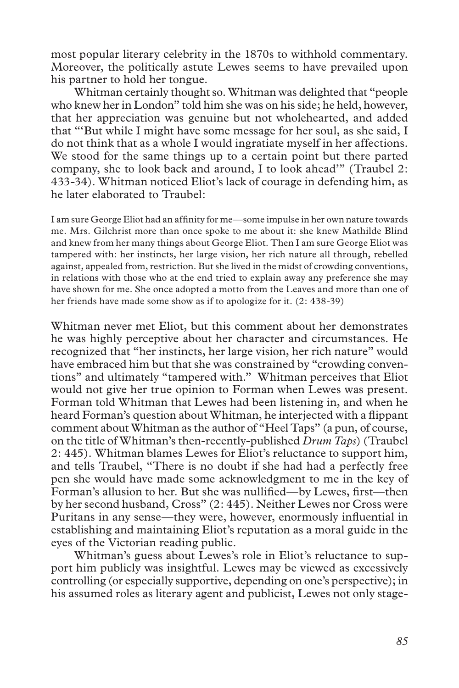most popular literary celebrity in the 1870s to withhold commentary. Moreover, the politically astute Lewes seems to have prevailed upon his partner to hold her tongue.

Whitman certainly thought so. Whitman was delighted that "people who knew her in London" told him she was on his side; he held, however, that her appreciation was genuine but not wholehearted, and added that "'But while I might have some message for her soul, as she said, I do not think that as a whole I would ingratiate myself in her affections. We stood for the same things up to a certain point but there parted company, she to look back and around, I to look ahead'" (Traubel 2: 433-34). Whitman noticed Eliot's lack of courage in defending him, as he later elaborated to Traubel:

I am sure George Eliot had an affinity for me—some impulse in her own nature towards me. Mrs. Gilchrist more than once spoke to me about it: she knew Mathilde Blind and knew from her many things about George Eliot. Then I am sure George Eliot was tampered with: her instincts, her large vision, her rich nature all through, rebelled against, appealed from, restriction. But she lived in the midst of crowding conventions, in relations with those who at the end tried to explain away any preference she may have shown for me. She once adopted a motto from the Leaves and more than one of her friends have made some show as if to apologize for it. (2: 438-39)

Whitman never met Eliot, but this comment about her demonstrates he was highly perceptive about her character and circumstances. He recognized that "her instincts, her large vision, her rich nature" would have embraced him but that she was constrained by "crowding conventions" and ultimately "tampered with." Whitman perceives that Eliot would not give her true opinion to Forman when Lewes was present. Forman told Whitman that Lewes had been listening in, and when he heard Forman's question about Whitman, he interjected with a flippant comment about Whitman as the author of "Heel Taps" (a pun, of course, on the title of Whitman's then-recently-published *Drum Taps*) (Traubel 2: 445). Whitman blames Lewes for Eliot's reluctance to support him, and tells Traubel, "There is no doubt if she had had a perfectly free pen she would have made some acknowledgment to me in the key of Forman's allusion to her. But she was nullified—by Lewes, first—then by her second husband, Cross" (2: 445). Neither Lewes nor Cross were Puritans in any sense—they were, however, enormously influential in establishing and maintaining Eliot's reputation as a moral guide in the eyes of the Victorian reading public.

Whitman's guess about Lewes's role in Eliot's reluctance to support him publicly was insightful. Lewes may be viewed as excessively controlling (or especially supportive, depending on one's perspective); in his assumed roles as literary agent and publicist, Lewes not only stage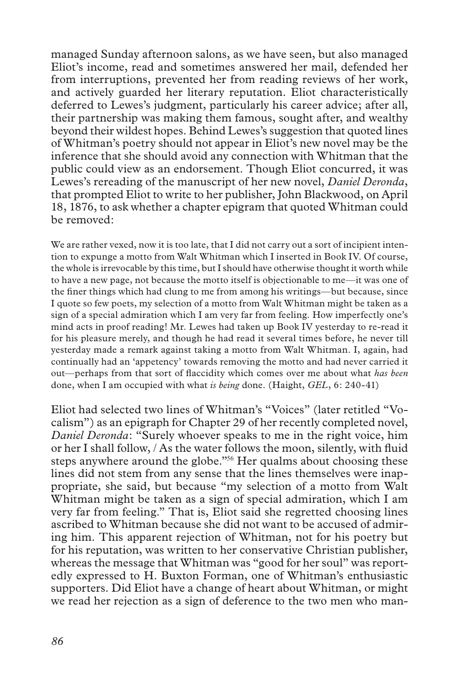managed Sunday afternoon salons, as we have seen, but also managed Eliot's income, read and sometimes answered her mail, defended her from interruptions, prevented her from reading reviews of her work, and actively guarded her literary reputation. Eliot characteristically deferred to Lewes's judgment, particularly his career advice; after all, their partnership was making them famous, sought after, and wealthy beyond their wildest hopes. Behind Lewes's suggestion that quoted lines of Whitman's poetry should not appear in Eliot's new novel may be the inference that she should avoid any connection with Whitman that the public could view as an endorsement. Though Eliot concurred, it was Lewes's rereading of the manuscript of her new novel, *Daniel Deronda*, that prompted Eliot to write to her publisher, John Blackwood, on April 18, 1876, to ask whether a chapter epigram that quoted Whitman could be removed:

We are rather vexed, now it is too late, that I did not carry out a sort of incipient intention to expunge a motto from Walt Whitman which I inserted in Book IV. Of course, the whole is irrevocable by this time, but I should have otherwise thought it worth while to have a new page, not because the motto itself is objectionable to me—it was one of the finer things which had clung to me from among his writings—but because, since I quote so few poets, my selection of a motto from Walt Whitman might be taken as a sign of a special admiration which I am very far from feeling. How imperfectly one's mind acts in proof reading! Mr. Lewes had taken up Book IV yesterday to re-read it for his pleasure merely, and though he had read it several times before, he never till yesterday made a remark against taking a motto from Walt Whitman. I, again, had continually had an 'appetency' towards removing the motto and had never carried it out—perhaps from that sort of flaccidity which comes over me about what *has been* done, when I am occupied with what *is being* done. (Haight, *GEL*, 6: 240-41)

Eliot had selected two lines of Whitman's "Voices" (later retitled "Vocalism") as an epigraph for Chapter 29 of her recently completed novel, *Daniel Deronda*: "Surely whoever speaks to me in the right voice, him or her I shall follow, / As the water follows the moon, silently, with fluid steps anywhere around the globe."<sup>56</sup> Her qualms about choosing these lines did not stem from any sense that the lines themselves were inappropriate, she said, but because "my selection of a motto from Walt Whitman might be taken as a sign of special admiration, which I am very far from feeling." That is, Eliot said she regretted choosing lines ascribed to Whitman because she did not want to be accused of admiring him. This apparent rejection of Whitman, not for his poetry but for his reputation, was written to her conservative Christian publisher, whereas the message that Whitman was "good for her soul" was reportedly expressed to H. Buxton Forman, one of Whitman's enthusiastic supporters. Did Eliot have a change of heart about Whitman, or might we read her rejection as a sign of deference to the two men who man-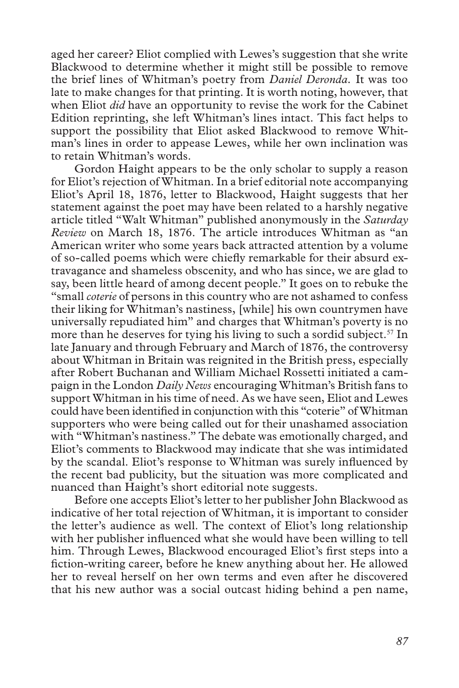aged her career? Eliot complied with Lewes's suggestion that she write Blackwood to determine whether it might still be possible to remove the brief lines of Whitman's poetry from *Daniel Deronda.* It was too late to make changes for that printing. It is worth noting, however, that when Eliot *did* have an opportunity to revise the work for the Cabinet Edition reprinting, she left Whitman's lines intact. This fact helps to support the possibility that Eliot asked Blackwood to remove Whitman's lines in order to appease Lewes, while her own inclination was to retain Whitman's words.

Gordon Haight appears to be the only scholar to supply a reason for Eliot's rejection of Whitman. In a brief editorial note accompanying Eliot's April 18, 1876, letter to Blackwood, Haight suggests that her statement against the poet may have been related to a harshly negative article titled "Walt Whitman" published anonymously in the *Saturday Review* on March 18, 1876. The article introduces Whitman as "an American writer who some years back attracted attention by a volume of so-called poems which were chiefly remarkable for their absurd extravagance and shameless obscenity, and who has since, we are glad to say, been little heard of among decent people." It goes on to rebuke the "small *coterie* of persons in this country who are not ashamed to confess their liking for Whitman's nastiness, [while] his own countrymen have universally repudiated him" and charges that Whitman's poverty is no more than he deserves for tying his living to such a sordid subject.<sup>57</sup> In late January and through February and March of 1876, the controversy about Whitman in Britain was reignited in the British press, especially after Robert Buchanan and William Michael Rossetti initiated a campaign in the London *Daily News* encouraging Whitman's British fans to support Whitman in his time of need. As we have seen, Eliot and Lewes could have been identified in conjunction with this "coterie" of Whitman supporters who were being called out for their unashamed association with "Whitman's nastiness." The debate was emotionally charged, and Eliot's comments to Blackwood may indicate that she was intimidated by the scandal. Eliot's response to Whitman was surely influenced by the recent bad publicity, but the situation was more complicated and nuanced than Haight's short editorial note suggests.

Before one accepts Eliot's letter to her publisher John Blackwood as indicative of her total rejection of Whitman, it is important to consider the letter's audience as well. The context of Eliot's long relationship with her publisher influenced what she would have been willing to tell him. Through Lewes, Blackwood encouraged Eliot's first steps into a fiction-writing career, before he knew anything about her. He allowed her to reveal herself on her own terms and even after he discovered that his new author was a social outcast hiding behind a pen name,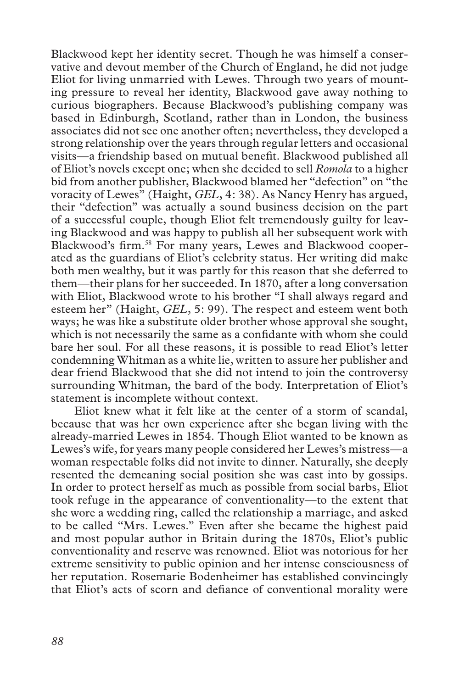Blackwood kept her identity secret. Though he was himself a conservative and devout member of the Church of England, he did not judge Eliot for living unmarried with Lewes. Through two years of mounting pressure to reveal her identity, Blackwood gave away nothing to curious biographers. Because Blackwood's publishing company was based in Edinburgh, Scotland, rather than in London, the business associates did not see one another often; nevertheless, they developed a strong relationship over the years through regular letters and occasional visits—a friendship based on mutual benefit. Blackwood published all of Eliot's novels except one; when she decided to sell *Romola* to a higher bid from another publisher, Blackwood blamed her "defection" on "the voracity of Lewes" (Haight, *GEL*, 4: 38). As Nancy Henry has argued, their "defection" was actually a sound business decision on the part of a successful couple, though Eliot felt tremendously guilty for leaving Blackwood and was happy to publish all her subsequent work with Blackwood's firm.<sup>58</sup> For many years, Lewes and Blackwood cooperated as the guardians of Eliot's celebrity status. Her writing did make both men wealthy, but it was partly for this reason that she deferred to them—their plans for her succeeded. In 1870, after a long conversation with Eliot, Blackwood wrote to his brother "I shall always regard and esteem her" (Haight, *GEL*, 5: 99). The respect and esteem went both ways; he was like a substitute older brother whose approval she sought, which is not necessarily the same as a confidante with whom she could bare her soul. For all these reasons, it is possible to read Eliot's letter condemning Whitman as a white lie, written to assure her publisher and dear friend Blackwood that she did not intend to join the controversy surrounding Whitman, the bard of the body. Interpretation of Eliot's statement is incomplete without context.

Eliot knew what it felt like at the center of a storm of scandal, because that was her own experience after she began living with the already-married Lewes in 1854. Though Eliot wanted to be known as Lewes's wife, for years many people considered her Lewes's mistress—a woman respectable folks did not invite to dinner. Naturally, she deeply resented the demeaning social position she was cast into by gossips. In order to protect herself as much as possible from social barbs, Eliot took refuge in the appearance of conventionality—to the extent that she wore a wedding ring, called the relationship a marriage, and asked to be called "Mrs. Lewes." Even after she became the highest paid and most popular author in Britain during the 1870s, Eliot's public conventionality and reserve was renowned. Eliot was notorious for her extreme sensitivity to public opinion and her intense consciousness of her reputation. Rosemarie Bodenheimer has established convincingly that Eliot's acts of scorn and defiance of conventional morality were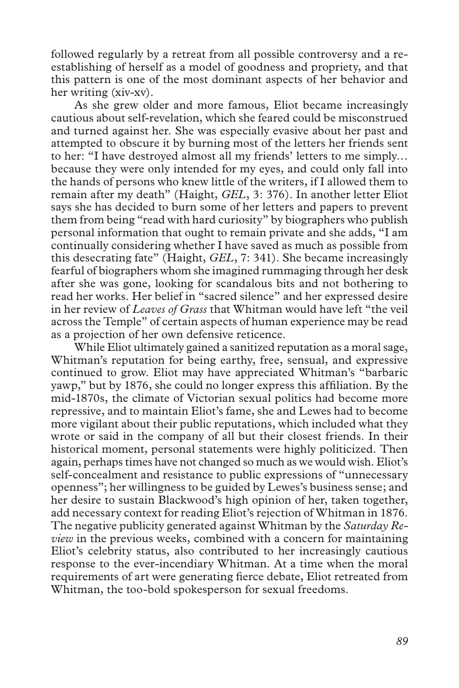followed regularly by a retreat from all possible controversy and a reestablishing of herself as a model of goodness and propriety, and that this pattern is one of the most dominant aspects of her behavior and her writing (xiv-xv).

As she grew older and more famous, Eliot became increasingly cautious about self-revelation, which she feared could be misconstrued and turned against her. She was especially evasive about her past and attempted to obscure it by burning most of the letters her friends sent to her: "I have destroyed almost all my friends' letters to me simply… because they were only intended for my eyes, and could only fall into the hands of persons who knew little of the writers, if I allowed them to remain after my death" (Haight, *GEL*, 3: 376). In another letter Eliot says she has decided to burn some of her letters and papers to prevent them from being "read with hard curiosity" by biographers who publish personal information that ought to remain private and she adds, "I am continually considering whether I have saved as much as possible from this desecrating fate" (Haight, *GEL*, 7: 341). She became increasingly fearful of biographers whom she imagined rummaging through her desk after she was gone, looking for scandalous bits and not bothering to read her works. Her belief in "sacred silence" and her expressed desire in her review of *Leaves of Grass* that Whitman would have left "the veil across the Temple" of certain aspects of human experience may be read as a projection of her own defensive reticence.

While Eliot ultimately gained a sanitized reputation as a moral sage, Whitman's reputation for being earthy, free, sensual, and expressive continued to grow. Eliot may have appreciated Whitman's "barbaric yawp," but by 1876, she could no longer express this affiliation. By the mid-1870s, the climate of Victorian sexual politics had become more repressive, and to maintain Eliot's fame, she and Lewes had to become more vigilant about their public reputations, which included what they wrote or said in the company of all but their closest friends. In their historical moment, personal statements were highly politicized. Then again, perhaps times have not changed so much as we would wish. Eliot's self-concealment and resistance to public expressions of "unnecessary openness"; her willingness to be guided by Lewes's business sense; and her desire to sustain Blackwood's high opinion of her, taken together, add necessary context for reading Eliot's rejection of Whitman in 1876. The negative publicity generated against Whitman by the *Saturday Review* in the previous weeks, combined with a concern for maintaining Eliot's celebrity status, also contributed to her increasingly cautious response to the ever-incendiary Whitman. At a time when the moral requirements of art were generating fierce debate, Eliot retreated from Whitman, the too-bold spokesperson for sexual freedoms.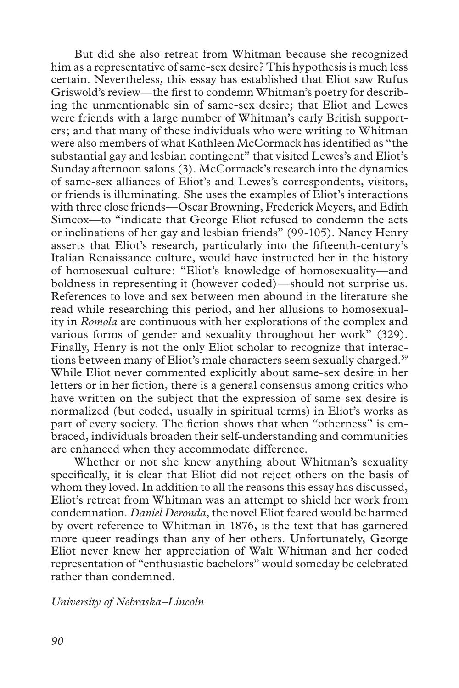But did she also retreat from Whitman because she recognized him as a representative of same-sex desire? This hypothesis is much less certain. Nevertheless, this essay has established that Eliot saw Rufus Griswold's review—the first to condemn Whitman's poetry for describing the unmentionable sin of same-sex desire; that Eliot and Lewes were friends with a large number of Whitman's early British supporters; and that many of these individuals who were writing to Whitman were also members of what Kathleen McCormack has identified as "the substantial gay and lesbian contingent" that visited Lewes's and Eliot's Sunday afternoon salons (3). McCormack's research into the dynamics of same-sex alliances of Eliot's and Lewes's correspondents, visitors, or friends is illuminating. She uses the examples of Eliot's interactions with three close friends—Oscar Browning, Frederick Meyers, and Edith Simcox—to "indicate that George Eliot refused to condemn the acts or inclinations of her gay and lesbian friends" (99-105). Nancy Henry asserts that Eliot's research, particularly into the fifteenth-century's Italian Renaissance culture, would have instructed her in the history of homosexual culture: "Eliot's knowledge of homosexuality—and boldness in representing it (however coded)—should not surprise us. References to love and sex between men abound in the literature she read while researching this period, and her allusions to homosexuality in *Romola* are continuous with her explorations of the complex and various forms of gender and sexuality throughout her work" (329). Finally, Henry is not the only Eliot scholar to recognize that interactions between many of Eliot's male characters seem sexually charged.<sup>59</sup> While Eliot never commented explicitly about same-sex desire in her letters or in her fiction, there is a general consensus among critics who have written on the subject that the expression of same-sex desire is normalized (but coded, usually in spiritual terms) in Eliot's works as part of every society. The fiction shows that when "otherness" is embraced, individuals broaden their self-understanding and communities are enhanced when they accommodate difference.

Whether or not she knew anything about Whitman's sexuality specifically, it is clear that Eliot did not reject others on the basis of whom they loved. In addition to all the reasons this essay has discussed, Eliot's retreat from Whitman was an attempt to shield her work from condemnation. *Daniel Deronda*, the novel Eliot feared would be harmed by overt reference to Whitman in 1876, is the text that has garnered more queer readings than any of her others. Unfortunately, George Eliot never knew her appreciation of Walt Whitman and her coded representation of "enthusiastic bachelors" would someday be celebrated rather than condemned.

*University of Nebraska–Lincoln*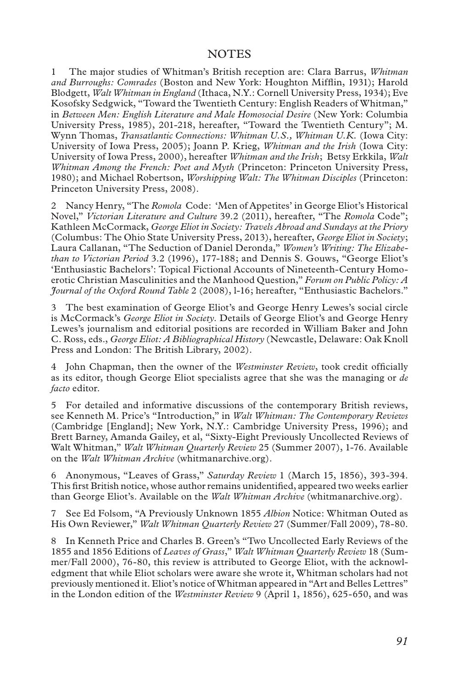#### NOTES

1 The major studies of Whitman's British reception are: Clara Barrus, *Whitman and Burroughs: Comrades* (Boston and New York: Houghton Mifflin, 1931); Harold Blodgett, *Walt Whitman in England* (Ithaca, N.Y.: Cornell University Press, 1934); Eve Kosofsky Sedgwick, "Toward the Twentieth Century: English Readers of Whitman," in *Between Men: English Literature and Male Homosocial Desire* (New York: Columbia University Press, 1985), 201-218, hereafter, "Toward the Twentieth Century"; M. Wynn Thomas, *Transatlantic Connections: Whitman U.S., Whitman U.K.* (Iowa City: University of Iowa Press, 2005); Joann P. Krieg, *Whitman and the Irish* (Iowa City: University of Iowa Press, 2000), hereafter *Whitman and the Irish*; Betsy Erkkila, *Walt Whitman Among the French: Poet and Myth* (Princeton: Princeton University Press, 1980); and Michael Robertson, *Worshipping Walt: The Whitman Disciples* (Princeton: Princeton University Press, 2008).

2 Nancy Henry, "The *Romola* Code: 'Men of Appetites' in George Eliot's Historical Novel," *Victorian Literature and Culture* 39.2 (2011), hereafter, "The *Romola* Code"; Kathleen McCormack, *George Eliot in Society: Travels Abroad and Sundays at the Priory*  (Columbus: The Ohio State University Press, 2013), hereafter, *George Eliot in Society*; Laura Callanan, "The Seduction of Daniel Deronda," *Women's Writing: The Elizabethan to Victorian Period* 3.2 (1996), 177-188; and Dennis S. Gouws, "George Eliot's 'Enthusiastic Bachelors': Topical Fictional Accounts of Nineteenth-Century Homoerotic Christian Masculinities and the Manhood Question," *Forum on Public Policy: A Journal of the Oxford Round Table* 2 (2008), l-16; hereafter, "Enthusiastic Bachelors."

3 The best examination of George Eliot's and George Henry Lewes's social circle is McCormack's *George Eliot in Society*. Details of George Eliot's and George Henry Lewes's journalism and editorial positions are recorded in William Baker and John C. Ross, eds., *George Eliot: A Bibliographical History* (Newcastle, Delaware: Oak Knoll Press and London: The British Library, 2002).

4 John Chapman, then the owner of the *Westminster Review*, took credit officially as its editor, though George Eliot specialists agree that she was the managing or *de facto* editor.

5 For detailed and informative discussions of the contemporary British reviews, see Kenneth M. Price's "Introduction," in *Walt Whitman: The Contemporary Reviews* (Cambridge [England]; New York, N.Y.: Cambridge University Press, 1996); and Brett Barney, Amanda Gailey, et al, "Sixty-Eight Previously Uncollected Reviews of Walt Whitman," *Walt Whitman Quarterly Review* 25 (Summer 2007), 1-76. Available on the *Walt Whitman Archive* (whitmanarchive.org).

6 Anonymous, "Leaves of Grass," *Saturday Review* 1 (March 15, 1856), 393-394. This first British notice, whose author remains unidentified, appeared two weeks earlier than George Eliot's. Available on the *Walt Whitman Archive* (whitmanarchive.org).

7 See Ed Folsom, "A Previously Unknown 1855 *Albion* Notice: Whitman Outed as His Own Reviewer," *Walt Whitman Quarterly Review* 27 (Summer/Fall 2009), 78-80.

8 In Kenneth Price and Charles B. Green's "Two Uncollected Early Reviews of the 1855 and 1856 Editions of *Leaves of Grass*," *Walt Whitman Quarterly Review* 18 (Summer/Fall 2000), 76-80, this review is attributed to George Eliot, with the acknowledgment that while Eliot scholars were aware she wrote it, Whitman scholars had not previously mentioned it. Eliot's notice of Whitman appeared in "Art and Belles Lettres" in the London edition of the *Westminster Review* 9 (April 1, 1856), 625-650, and was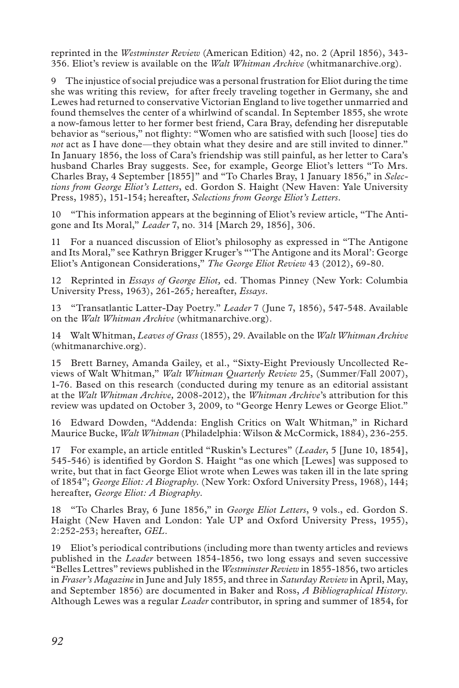reprinted in the *Westminster Review* (American Edition) 42, no. 2 (April 1856), 343- 356. Eliot's review is available on the *Walt Whitman Archive* (whitmanarchive.org).

9 The injustice of social prejudice was a personal frustration for Eliot during the time she was writing this review, for after freely traveling together in Germany, she and Lewes had returned to conservative Victorian England to live together unmarried and found themselves the center of a whirlwind of scandal. In September 1855, she wrote a now-famous letter to her former best friend, Cara Bray, defending her disreputable behavior as "serious," not flighty: "Women who are satisfied with such [loose] ties do *not* act as I have done—they obtain what they desire and are still invited to dinner." In January 1856, the loss of Cara's friendship was still painful, as her letter to Cara's husband Charles Bray suggests. See, for example, George Eliot's letters "To Mrs. Charles Bray, 4 September [1855]" and "To Charles Bray, 1 January 1856," in *Selections from George Eliot's Letters*, ed. Gordon S. Haight (New Haven: Yale University Press, 1985), 151-154; hereafter, *Selections from George Eliot's Letters*.

10 "This information appears at the beginning of Eliot's review article, "The Antigone and Its Moral," *Leader* 7, no. 314 [March 29, 1856], 306.

11 For a nuanced discussion of Eliot's philosophy as expressed in "The Antigone and Its Moral," see Kathryn Brigger Kruger's "'The Antigone and its Moral': George Eliot's Antigonean Considerations," *The George Eliot Review* 43 (2012), 69-80.

12 Reprinted in *Essays of George Eliot,* ed. Thomas Pinney (New York: Columbia University Press, 1963), 261-265*;* hereafter, *Essays*.

13 "Transatlantic Latter-Day Poetry." *Leader* 7 (June 7, 1856), 547-548. Available on the *Walt Whitman Archive* (whitmanarchive.org).

14 Walt Whitman, *Leaves of Grass* (1855), 29. Available on the *Walt Whitman Archive*  (whitmanarchive.org).

15 Brett Barney, Amanda Gailey, et al., "Sixty-Eight Previously Uncollected Reviews of Walt Whitman," *Walt Whitman Quarterly Review* 25, (Summer/Fall 2007), 1-76. Based on this research (conducted during my tenure as an editorial assistant at the *Walt Whitman Archive,* 2008-2012), the *Whitman Archive*'s attribution for this review was updated on October 3, 2009, to "George Henry Lewes or George Eliot."

16 Edward Dowden, "Addenda: English Critics on Walt Whitman," in Richard Maurice Bucke, *Walt Whitman* (Philadelphia: Wilson & McCormick, 1884), 236-255.

17 For example, an article entitled "Ruskin's Lectures" (*Leader*, 5 [June 10, 1854], 545-546) is identified by Gordon S. Haight "as one which [Lewes] was supposed to write, but that in fact George Eliot wrote when Lewes was taken ill in the late spring of 1854"; *George Eliot: A Biography*. (New York: Oxford University Press, 1968), 144; hereafter, *George Eliot: A Biography*.

18 "To Charles Bray, 6 June 1856," in *George Eliot Letters*, 9 vols., ed. Gordon S. Haight (New Haven and London: Yale UP and Oxford University Press, 1955), 2:252-253; hereafter, *GEL*.

19 Eliot's periodical contributions (including more than twenty articles and reviews published in the *Leader* between 1854-1856, two long essays and seven successive "Belles Lettres" reviews published in the *Westminster Review* in 1855-1856, two articles in *Fraser's Magazine* in June and July 1855, and three in *Saturday Review* in April, May, and September 1856) are documented in Baker and Ross, *A Bibliographical History*. Although Lewes was a regular *Leader* contributor, in spring and summer of 1854, for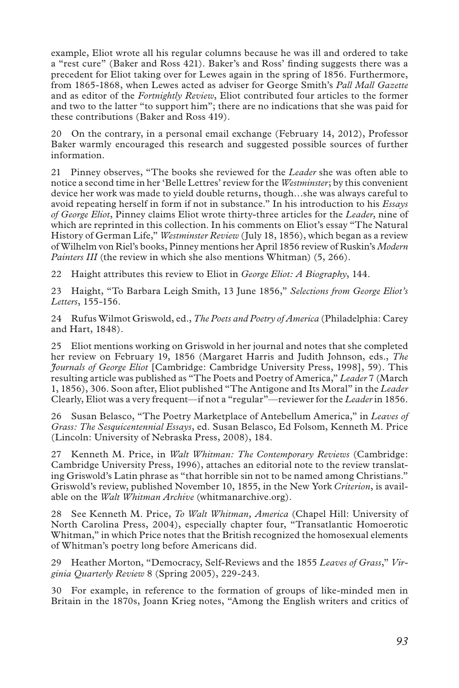example, Eliot wrote all his regular columns because he was ill and ordered to take a "rest cure" (Baker and Ross 421). Baker's and Ross' finding suggests there was a precedent for Eliot taking over for Lewes again in the spring of 1856. Furthermore, from 1865-1868, when Lewes acted as adviser for George Smith's *Pall Mall Gazette* and as editor of the *Fortnightly Review*, Eliot contributed four articles to the former and two to the latter "to support him"; there are no indications that she was paid for these contributions (Baker and Ross 419).

20 On the contrary, in a personal email exchange (February 14, 2012), Professor Baker warmly encouraged this research and suggested possible sources of further information.

21 Pinney observes, "The books she reviewed for the *Leader* she was often able to notice a second time in her 'Belle Lettres' review for the *Westminster*; by this convenient device her work was made to yield double returns, though…she was always careful to avoid repeating herself in form if not in substance." In his introduction to his *Essays of George Eliot*, Pinney claims Eliot wrote thirty-three articles for the *Leader*, nine of which are reprinted in this collection. In his comments on Eliot's essay "The Natural History of German Life," *Westminster Review* (July 18, 1856), which began as a review of Wilhelm von Riel's books, Pinney mentions her April 1856 review of Ruskin's *Modern Painters III* (the review in which she also mentions Whitman) (5, 266).

22 Haight attributes this review to Eliot in *George Eliot: A Biography*, 144.

23 Haight, "To Barbara Leigh Smith, 13 June 1856," *Selections from George Eliot's Letters*, 155-156.

24 Rufus Wilmot Griswold, ed., *The Poets and Poetry of America* (Philadelphia: Carey and Hart, 1848).

25 Eliot mentions working on Griswold in her journal and notes that she completed her review on February 19, 1856 (Margaret Harris and Judith Johnson, eds., *The Journals of George Eliot* [Cambridge: Cambridge University Press, 1998], 59). This resulting article was published as "The Poets and Poetry of America," *Leader* 7 (March 1, 1856), 306. Soon after, Eliot published "The Antigone and Its Moral" in the *Leader*  Clearly, Eliot was a very frequent—if not a "regular"—reviewer for the *Leader* in 1856.

26 Susan Belasco, "The Poetry Marketplace of Antebellum America," in *Leaves of Grass: The Sesquicentennial Essays*, ed. Susan Belasco, Ed Folsom, Kenneth M. Price (Lincoln: University of Nebraska Press, 2008), 184.

27 Kenneth M. Price, in *Walt Whitman: The Contemporary Reviews* (Cambridge: Cambridge University Press, 1996), attaches an editorial note to the review translating Griswold's Latin phrase as "that horrible sin not to be named among Christians." Griswold's review, published November 10, 1855, in the New York *Criterion*, is available on the *Walt Whitman Archive* (whitmanarchive.org).

28 See Kenneth M. Price, *To Walt Whitman, America* (Chapel Hill: University of North Carolina Press, 2004), especially chapter four, "Transatlantic Homoerotic Whitman," in which Price notes that the British recognized the homosexual elements of Whitman's poetry long before Americans did.

29 Heather Morton, "Democracy, Self-Reviews and the 1855 *Leaves of Grass*," *Virginia Quarterly Review* 8 (Spring 2005), 229-243.

30 For example, in reference to the formation of groups of like-minded men in Britain in the 1870s, Joann Krieg notes, "Among the English writers and critics of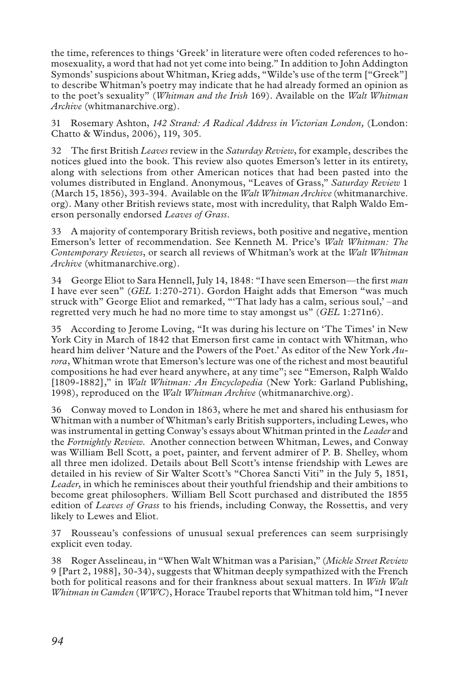the time, references to things 'Greek' in literature were often coded references to homosexuality, a word that had not yet come into being." In addition to John Addington Symonds' suspicions about Whitman, Krieg adds, "Wilde's use of the term ["Greek"] to describe Whitman's poetry may indicate that he had already formed an opinion as to the poet's sexuality" (*Whitman and the Irish* 169). Available on the *Walt Whitman Archive* (whitmanarchive.org).

31 Rosemary Ashton, *142 Strand: A Radical Address in Victorian London,* (London: Chatto & Windus, 2006), 119, 305.

32 The first British *Leaves* review in the *Saturday Review*, for example, describes the notices glued into the book. This review also quotes Emerson's letter in its entirety, along with selections from other American notices that had been pasted into the volumes distributed in England. Anonymous, "Leaves of Grass," *Saturday Review* 1 (March 15, 1856), 393-394. Available on the *Walt Whitman Archive* (whitmanarchive. org). Many other British reviews state, most with incredulity, that Ralph Waldo Emerson personally endorsed *Leaves of Grass*.

33 A majority of contemporary British reviews, both positive and negative, mention Emerson's letter of recommendation. See Kenneth M. Price's *Walt Whitman: The Contemporary Reviews*, or search all reviews of Whitman's work at the *Walt Whitman Archive* (whitmanarchive.org).

34 George Eliot to Sara Hennell, July 14, 1848: "I have seen Emerson—the first *man* I have ever seen" (*GEL* 1:270-271). Gordon Haight adds that Emerson "was much struck with" George Eliot and remarked, "'That lady has a calm, serious soul,' –and regretted very much he had no more time to stay amongst us" (*GEL* 1:271n6).

35 According to Jerome Loving, "It was during his lecture on 'The Times' in New York City in March of 1842 that Emerson first came in contact with Whitman, who heard him deliver 'Nature and the Powers of the Poet.' As editor of the New York *Aurora*, Whitman wrote that Emerson's lecture was one of the richest and most beautiful compositions he had ever heard anywhere, at any time"; see "Emerson, Ralph Waldo [1809-1882]," in *Walt Whitman: An Encyclopedia* (New York: Garland Publishing, 1998), reproduced on the *Walt Whitman Archive* (whitmanarchive.org).

36 Conway moved to London in 1863, where he met and shared his enthusiasm for Whitman with a number of Whitman's early British supporters, including Lewes, who was instrumental in getting Conway's essays about Whitman printed in the *Leader* and the *Fortnightly Review*. Another connection between Whitman, Lewes, and Conway was William Bell Scott, a poet, painter, and fervent admirer of P. B. Shelley, whom all three men idolized. Details about Bell Scott's intense friendship with Lewes are detailed in his review of Sir Walter Scott's "Chorea Sancti Viti" in the July 5, 1851, *Leader*, in which he reminisces about their youthful friendship and their ambitions to become great philosophers. William Bell Scott purchased and distributed the 1855 edition of *Leaves of Grass* to his friends, including Conway, the Rossettis, and very likely to Lewes and Eliot.

37 Rousseau's confessions of unusual sexual preferences can seem surprisingly explicit even today.

38 Roger Asselineau, in "When Walt Whitman was a Parisian," (*Mickle Street Review* 9 [Part 2, 1988], 30-34), suggests that Whitman deeply sympathized with the French both for political reasons and for their frankness about sexual matters. In *With Walt Whitman in Camden* (*WWC*), Horace Traubel reports that Whitman told him, "I never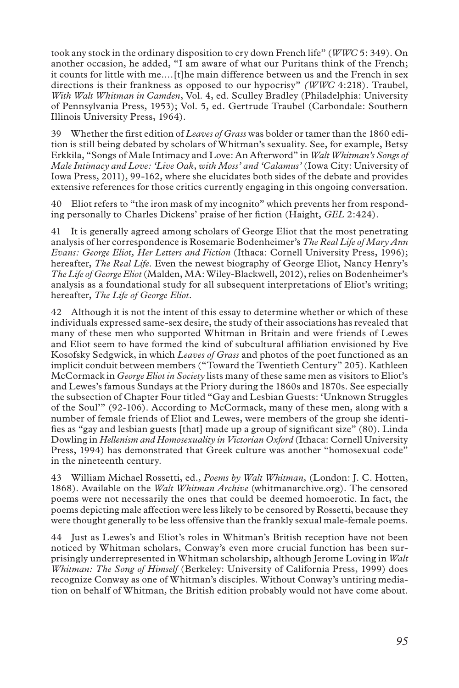took any stock in the ordinary disposition to cry down French life" (*WWC* 5: 349). On another occasion, he added, "I am aware of what our Puritans think of the French; it counts for little with me.…[t]he main difference between us and the French in sex directions is their frankness as opposed to our hypocrisy" *(WWC* 4:218). Traubel, *With Walt Whitman in Camden*, Vol. 4, ed. Sculley Bradley (Philadelphia: University of Pennsylvania Press, 1953); Vol. 5, ed. Gertrude Traubel (Carbondale: Southern Illinois University Press, 1964).

39 Whether the first edition of *Leaves of Grass* was bolder or tamer than the 1860 edition is still being debated by scholars of Whitman's sexuality. See, for example, Betsy Erkkila, "Songs of Male Intimacy and Love: An Afterword" in *Walt Whitman's Songs of Male Intimacy and Love: 'Live Oak, with Moss' and 'Calamus'* (Iowa City: University of Iowa Press, 2011), 99-162, where she elucidates both sides of the debate and provides extensive references for those critics currently engaging in this ongoing conversation.

40 Eliot refers to "the iron mask of my incognito" which prevents her from responding personally to Charles Dickens' praise of her fiction (Haight, *GEL* 2:424).

41 It is generally agreed among scholars of George Eliot that the most penetrating analysis of her correspondence is Rosemarie Bodenheimer's *The Real Life of Mary Ann Evans: George Eliot, Her Letters and Fiction* (Ithaca: Cornell University Press, 1996); hereafter, *The Real Life*. Even the newest biography of George Eliot, Nancy Henry's *The Life of George Eliot* (Malden, MA: Wiley-Blackwell, 2012), relies on Bodenheimer's analysis as a foundational study for all subsequent interpretations of Eliot's writing; hereafter, *The Life of George Eliot*.

42 Although it is not the intent of this essay to determine whether or which of these individuals expressed same-sex desire, the study of their associations has revealed that many of these men who supported Whitman in Britain and were friends of Lewes and Eliot seem to have formed the kind of subcultural affiliation envisioned by Eve Kosofsky Sedgwick, in which *Leaves of Grass* and photos of the poet functioned as an implicit conduit between members ("Toward the Twentieth Century" 205). Kathleen McCormack in *George Eliot in Society* lists many of these same men as visitors to Eliot's and Lewes's famous Sundays at the Priory during the 1860s and 1870s. See especially the subsection of Chapter Four titled "Gay and Lesbian Guests: 'Unknown Struggles of the Soul'" (92-106). According to McCormack, many of these men, along with a number of female friends of Eliot and Lewes, were members of the group she identifies as "gay and lesbian guests [that] made up a group of significant size" (80). Linda Dowling in *Hellenism and Homosexuality in Victorian Oxford* (Ithaca: Cornell University Press, 1994) has demonstrated that Greek culture was another "homosexual code" in the nineteenth century.

43 William Michael Rossetti, ed., *Poems by Walt Whitman,* (London: J. C. Hotten, 1868). Available on the *Walt Whitman Archive* (whitmanarchive.org). The censored poems were not necessarily the ones that could be deemed homoerotic. In fact, the poems depicting male affection were less likely to be censored by Rossetti, because they were thought generally to be less offensive than the frankly sexual male-female poems.

44 Just as Lewes's and Eliot's roles in Whitman's British reception have not been noticed by Whitman scholars, Conway's even more crucial function has been surprisingly underrepresented in Whitman scholarship, although Jerome Loving in *Walt Whitman: The Song of Himself* (Berkeley: University of California Press, 1999) does recognize Conway as one of Whitman's disciples. Without Conway's untiring mediation on behalf of Whitman, the British edition probably would not have come about.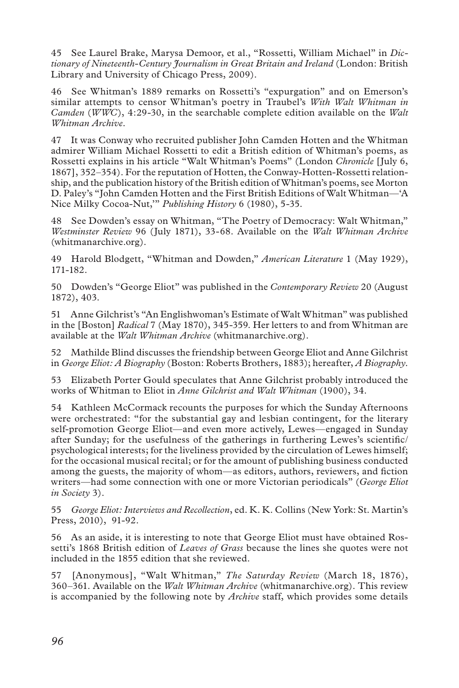45 See Laurel Brake, Marysa Demoor, et al., "Rossetti, William Michael" in *Dictionary of Nineteenth-Century Journalism in Great Britain and Ireland* (London: British Library and University of Chicago Press, 2009).

46 See Whitman's 1889 remarks on Rossetti's "expurgation" and on Emerson's similar attempts to censor Whitman's poetry in Traubel's *With Walt Whitman in Camden* (*WWC*), 4:29-30, in the searchable complete edition available on the *Walt Whitman Archive*.

47 It was Conway who recruited publisher John Camden Hotten and the Whitman admirer William Michael Rossetti to edit a British edition of Whitman's poems, as Rossetti explains in his article "Walt Whitman's Poems" (London *Chronicle* [July 6, 1867], 352–354). For the reputation of Hotten, the Conway-Hotten-Rossetti relationship, and the publication history of the British edition of Whitman's poems, see Morton D. Paley's "John Camden Hotten and the First British Editions of Walt Whitman—'A Nice Milky Cocoa-Nut,'" *Publishing History* 6 (1980), 5-35.

48 See Dowden's essay on Whitman, "The Poetry of Democracy: Walt Whitman," *Westminster Review* 96 (July 1871), 33-68. Available on the *Walt Whitman Archive*  (whitmanarchive.org).

49 Harold Blodgett, "Whitman and Dowden," *American Literature* 1 (May 1929), 171-182.

50 Dowden's "George Eliot" was published in the *Contemporary Review* 20 (August 1872), 403.

51 Anne Gilchrist's "An Englishwoman's Estimate of Walt Whitman" was published in the [Boston] *Radical* 7 (May 1870), 345-359. Her letters to and from Whitman are available at the *Walt Whitman Archive* (whitmanarchive.org).

52 Mathilde Blind discusses the friendship between George Eliot and Anne Gilchrist in *George Eliot: A Biography* (Boston: Roberts Brothers, 1883); hereafter, *A Biography*.

53 Elizabeth Porter Gould speculates that Anne Gilchrist probably introduced the works of Whitman to Eliot in *Anne Gilchrist and Walt Whitman* (1900), 34.

54 Kathleen McCormack recounts the purposes for which the Sunday Afternoons were orchestrated: "for the substantial gay and lesbian contingent, for the literary self-promotion George Eliot—and even more actively, Lewes—engaged in Sunday after Sunday; for the usefulness of the gatherings in furthering Lewes's scientific/ psychological interests; for the liveliness provided by the circulation of Lewes himself; for the occasional musical recital; or for the amount of publishing business conducted among the guests, the majority of whom—as editors, authors, reviewers, and fiction writers—had some connection with one or more Victorian periodicals" (*George Eliot in Society* 3).

55 *George Eliot: Interviews and Recollection*, ed. K. K. Collins (New York: St. Martin's Press, 2010), 91-92.

56 As an aside, it is interesting to note that George Eliot must have obtained Rossetti's 1868 British edition of *Leaves of Grass* because the lines she quotes were not included in the 1855 edition that she reviewed.

57 [Anonymous], "Walt Whitman," *The Saturday Review* (March 18, 1876), 360–361. Available on the *Walt Whitman Archive* (whitmanarchive.org). This review is accompanied by the following note by *Archive* staff, which provides some details